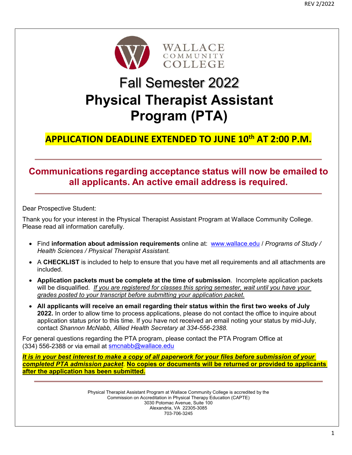

# Fall Semester 2022 **Physical Therapist Assistant Program (PTA)**

# **APPLICATION DEADLINE EXTENDED TO JUNE 10th AT 2:00 P.M.**

# **Communications regarding acceptance status will now be emailed to all applicants. An active email address is required.**

Dear Prospective Student:

Thank you for your interest in the Physical Therapist Assistant Program at Wallace Community College. Please read all information carefully.

- Find **information about admission requirements** online at: www.wallace.edu / *Programs of Study / Health Sciences / Physical Therapist Assistant.*
- A **CHECKLIST** is included to help to ensure that you have met all requirements and all attachments are included.
- **Application packets must be complete at the time of submission**. Incomplete application packets will be disqualified. *If you are registered for classes this spring semester, wait until you have your grades posted to your transcript before submitting your application packet.*
- **All applicants will receive an email regarding their status within the first two weeks of July 2022.** In order to allow time to process applications, please do not contact the office to inquire about application status prior to this time. If you have not received an email noting your status by mid-July, contact *Shannon McNabb, Allied Health Secretary at 334-556-2388.*

For general questions regarding the PTA program, please contact the PTA Program Office at (334) 556-2388 or via email at smcnabb@wallace.edu

*It is in your best interest to make a copy of all paperwork for your files before submission of your completed PTA admission packet*. **No copies or documents will be returned or provided to applicants after the application has been submitted.** 

> Physical Therapist Assistant Program at Wallace Community College is accredited by the Commission on Accreditation in Physical Therapy Education (CAPTE) 3030 Potomac Avenue, Suite 100 Alexandria, VA 22305-3085 703-706-3245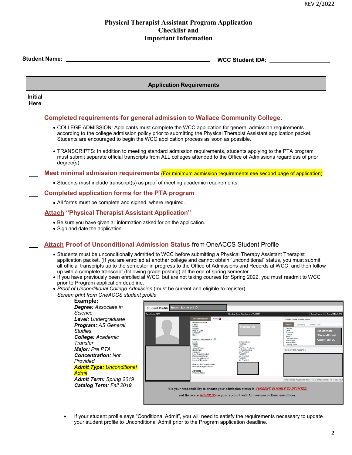# **Physical Therapist Assistant Program Application Checklist and Important Information**

|                                                                                                                                                                                                                                                                                                                                                                                                                                                                                                                                                                                                                                                                                                                                                                                                                                                                                                                       | <b>Application Requirements</b>                                                                                                                                                                                                                                                                                                                                                                                                                                                                                                                                                                                                                                                                                                                                                                                                                                                                                                                                                                                                                                                                                                                                                                                               |  |
|-----------------------------------------------------------------------------------------------------------------------------------------------------------------------------------------------------------------------------------------------------------------------------------------------------------------------------------------------------------------------------------------------------------------------------------------------------------------------------------------------------------------------------------------------------------------------------------------------------------------------------------------------------------------------------------------------------------------------------------------------------------------------------------------------------------------------------------------------------------------------------------------------------------------------|-------------------------------------------------------------------------------------------------------------------------------------------------------------------------------------------------------------------------------------------------------------------------------------------------------------------------------------------------------------------------------------------------------------------------------------------------------------------------------------------------------------------------------------------------------------------------------------------------------------------------------------------------------------------------------------------------------------------------------------------------------------------------------------------------------------------------------------------------------------------------------------------------------------------------------------------------------------------------------------------------------------------------------------------------------------------------------------------------------------------------------------------------------------------------------------------------------------------------------|--|
| <b>Initial</b><br>Here                                                                                                                                                                                                                                                                                                                                                                                                                                                                                                                                                                                                                                                                                                                                                                                                                                                                                                |                                                                                                                                                                                                                                                                                                                                                                                                                                                                                                                                                                                                                                                                                                                                                                                                                                                                                                                                                                                                                                                                                                                                                                                                                               |  |
|                                                                                                                                                                                                                                                                                                                                                                                                                                                                                                                                                                                                                                                                                                                                                                                                                                                                                                                       | Completed requirements for general admission to Wallace Community College.                                                                                                                                                                                                                                                                                                                                                                                                                                                                                                                                                                                                                                                                                                                                                                                                                                                                                                                                                                                                                                                                                                                                                    |  |
|                                                                                                                                                                                                                                                                                                                                                                                                                                                                                                                                                                                                                                                                                                                                                                                                                                                                                                                       | • COLLEGE ADMISSION: Applicants must complete the WCC application for general admission requirements<br>according to the college admission policy prior to submitting the Physical Therapist Assistant application packet.<br>Students are encouraged to begin the WCC application process as soon as possible.                                                                                                                                                                                                                                                                                                                                                                                                                                                                                                                                                                                                                                                                                                                                                                                                                                                                                                               |  |
|                                                                                                                                                                                                                                                                                                                                                                                                                                                                                                                                                                                                                                                                                                                                                                                                                                                                                                                       | • TRANSCRIPTS: In addition to meeting standard admission requirements, students applying to the PTA program<br>must submit separate official transcripts from ALL colleges attended to the Office of Admissions regardless of prior<br>degree(s).                                                                                                                                                                                                                                                                                                                                                                                                                                                                                                                                                                                                                                                                                                                                                                                                                                                                                                                                                                             |  |
|                                                                                                                                                                                                                                                                                                                                                                                                                                                                                                                                                                                                                                                                                                                                                                                                                                                                                                                       | Meet minimal admission requirements (For minimum admission requirements see second page of application)                                                                                                                                                                                                                                                                                                                                                                                                                                                                                                                                                                                                                                                                                                                                                                                                                                                                                                                                                                                                                                                                                                                       |  |
|                                                                                                                                                                                                                                                                                                                                                                                                                                                                                                                                                                                                                                                                                                                                                                                                                                                                                                                       | • Students must include transcript(s) as proof of meeting academic requirements.                                                                                                                                                                                                                                                                                                                                                                                                                                                                                                                                                                                                                                                                                                                                                                                                                                                                                                                                                                                                                                                                                                                                              |  |
|                                                                                                                                                                                                                                                                                                                                                                                                                                                                                                                                                                                                                                                                                                                                                                                                                                                                                                                       | <b>Completed application forms for the PTA program</b>                                                                                                                                                                                                                                                                                                                                                                                                                                                                                                                                                                                                                                                                                                                                                                                                                                                                                                                                                                                                                                                                                                                                                                        |  |
| • All forms must be complete and signed, where required.                                                                                                                                                                                                                                                                                                                                                                                                                                                                                                                                                                                                                                                                                                                                                                                                                                                              |                                                                                                                                                                                                                                                                                                                                                                                                                                                                                                                                                                                                                                                                                                                                                                                                                                                                                                                                                                                                                                                                                                                                                                                                                               |  |
|                                                                                                                                                                                                                                                                                                                                                                                                                                                                                                                                                                                                                                                                                                                                                                                                                                                                                                                       | <b>Attach "Physical Therapist Assistant Application"</b>                                                                                                                                                                                                                                                                                                                                                                                                                                                                                                                                                                                                                                                                                                                                                                                                                                                                                                                                                                                                                                                                                                                                                                      |  |
|                                                                                                                                                                                                                                                                                                                                                                                                                                                                                                                                                                                                                                                                                                                                                                                                                                                                                                                       | • Be sure you have given all information asked for on the application.<br>• Sign and date the application.                                                                                                                                                                                                                                                                                                                                                                                                                                                                                                                                                                                                                                                                                                                                                                                                                                                                                                                                                                                                                                                                                                                    |  |
|                                                                                                                                                                                                                                                                                                                                                                                                                                                                                                                                                                                                                                                                                                                                                                                                                                                                                                                       | <b>Attach Proof of Unconditional Admission Status from OneACCS Student Profile</b>                                                                                                                                                                                                                                                                                                                                                                                                                                                                                                                                                                                                                                                                                                                                                                                                                                                                                                                                                                                                                                                                                                                                            |  |
| • Students must be unconditionally admitted to WCC before submitting a Physical Therapy Assistant Therapist<br>application packet. (If you are enrolled at another college and cannot obtain "unconditional" status, you must submit<br>all official transcripts up to the semester in progress to the Office of Admissions and Records at WCC, and then follow<br>up with a complete transcript (following grade posting) at the end of spring semester.<br>. If you have previously been enrolled at WCC, but are not taking courses for Spring 2022, you must readmit to WCC<br>prior to Program application deadline.<br>• Proof of Unconditional College Admission (must be current and eligible to register)<br>Screen print from OneACCS student profile<br>Example:<br>Degree: Associate in<br>Student Profile Student Name and ID<br>Science<br>erm: Spring 2022<br>Standing: Good Standing, as of Fall 2021 |                                                                                                                                                                                                                                                                                                                                                                                                                                                                                                                                                                                                                                                                                                                                                                                                                                                                                                                                                                                                                                                                                                                                                                                                                               |  |
|                                                                                                                                                                                                                                                                                                                                                                                                                                                                                                                                                                                                                                                                                                                                                                                                                                                                                                                       | Level: Undergraduate<br>Notes: 0<br>Student Info<br>CURRICULUM, HOURS & GPA<br><b>Bio Information</b><br>Secondary<br>Hours & GPA<br><b>Program: AS General</b><br>Primary<br>Email:<br>udent Info<br>Phone:<br>Degree:<br>Level:<br>Gender<br><b>Studies</b><br><b>Should state</b><br>Date of Birth:<br>Ethnicity:<br>Program:<br>Race:<br>College:<br>Major:<br>Concentration:<br>"Unconditional<br><b>College: Academic</b><br>General Information <sup>0</sup><br>Admit" status.<br>Admit Type:<br>Admit Term:<br>Catalog Term:<br>Transfer<br>Undergraduate<br>Level:<br>Class:<br>Freshman<br>Status<br>Active<br>First Time Freshman<br>Major: Pre PTA<br><b>Student Type:</b><br>Residency<br>Campus:<br>In State Resident<br>Not Provided<br><b>REGISTERED COURSES</b><br>First Term Attended:<br>Fall 2021<br><b>Concentration: Not</b><br>Matriculated Term:<br>Not Provided<br>Last Term Attended<br>Fall 2021<br>Provided<br>Leave of Absence:<br>Not Provided<br><b>Graduation Information</b><br><b>Admit Type: Unconditional</b><br><b>Graduation Applicati</b><br>Advisors<br>Admit<br>Primary / Major<br><b>Admit Term: Spring 2019</b><br>Total Hours   Registered Hours: 12   Billing Hours: 12   CEU Ho |  |
|                                                                                                                                                                                                                                                                                                                                                                                                                                                                                                                                                                                                                                                                                                                                                                                                                                                                                                                       | Catalog Term: Fall 2019<br>It is your responsibility to ensure your admission status is CURRENT, ELIGIBLE TO REGISTER,<br>and there are <i>NO HOLDS</i> on your account with Admissions or Business offices.                                                                                                                                                                                                                                                                                                                                                                                                                                                                                                                                                                                                                                                                                                                                                                                                                                                                                                                                                                                                                  |  |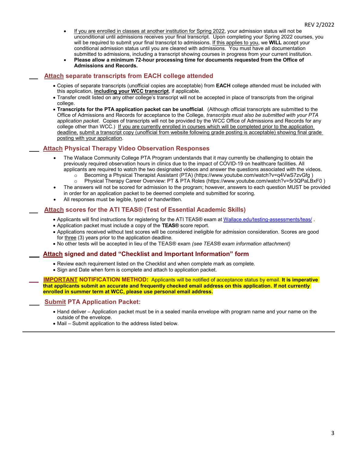- If you are enrolled in classes at another institution for Spring 2022, your admission status will not be unconditional until admissions receives your final transcript. Upon completing your Spring 2022 courses, you will be required to submit your final transcript to admissions. If this applies to you, we **WILL** accept your conditional admission status until you are cleared with admissions. You must have all documentation submitted to admissions, including a transcript showing courses in progress from your current institution.
- **Please allow a minimum 72-hour processing time for documents requested from the Office of Admissions and Records.**

#### **Attach separate transcripts from EACH college attended**

- Copies of separate transcripts (unofficial copies are acceptable) from **EACH** college attended must be included with this application, **including your WCC transcript**, if applicable.
- Transfer credit listed on any other college's transcript will not be accepted in place of transcripts from the original college.
- **Transcripts for the PTA application packet can be unofficial**. (Although official transcripts are submitted to the Office of Admissions and Records for acceptance to the College, *transcripts must also be submitted with your PTA application packet*. Copies of transcripts will not be provided by the WCC Office of Admissions and Records for any college other than WCC.) If you are currently enrolled in courses which will be completed prior to the application deadline, submit a transcript copy (unofficial from website following grade posting is acceptable) showing final grade posting with your application.

### **Attach Physical Therapy Video Observation Responses**

- The Wallace Community College PTA Program understands that it may currently be challenging to obtain the previously required observation hours in clinics due to the impact of COVID-19 on healthcare facilities. All applicants are required to watch the two designated videos and answer the questions associated with the videos.
	- o Becoming a Physical Therapist Assistant (PTA) (https://www.youtube.com/watch?v=q4VwS7zvGfg ) o Physical Therapy Career Overview: PT & PTA Roles (https://www.youtube.com/watch?v=5r3QPaLBxF0 )
- The answers will not be scored for admission to the program; however, answers to each question MUST be provided in order for an application packet to be deemed complete and submitted for scoring.
- All responses must be legible, typed or handwritten.

#### **Attach scores for the ATI TEAS® (Test of Essential Academic Skills)**

- Applicants will find instructions for registering for the ATI TEAS® exam at Wallace.edu/testing-assessments/teas/ .
- Application packet must include a copy of the **TEAS®** score report.
- Applications received without test scores will be considered ineligible for admission consideration. Scores are good for three (3) years prior to the application deadline.
- No other tests will be accepted in lieu of the TEAS® exam *(see TEAS® exam information attachment)*

#### **Attach signed and dated "Checklist and Important Information" form**

- Review each requirement listed on the Checklist and when complete mark as complete.
- Sign and Date when form is complete and attach to application packet.

**IMPORTANT NOTIFICATION METHOD:** Applicants will be notified of acceptance status by email. It is imperative **that applicants submit an accurate and frequently checked email address on this application. If not currently enrolled in summer term at WCC, please use personal email address.** 

#### **Submit PTA Application Packet:**

- Hand deliver Application packet must be in a sealed manila envelope with program name and your name on the outside of the envelope.
- Mail Submit application to the address listed below.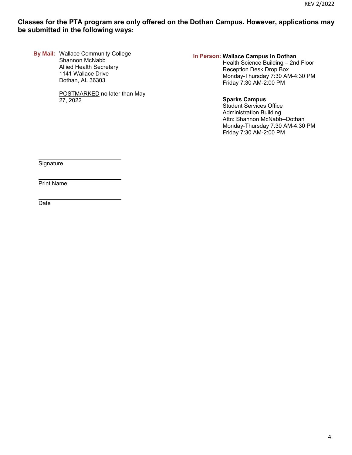# **Classes for the PTA program are only offered on the Dothan Campus. However, applications may be submitted in the following ways:**

**By Mail:** Wallace Community College Shannon McNabb Allied Health Secretary 1141 Wallace Drive Dothan, AL 36303

> POSTMARKED no later than May 27, 2022

#### **In Person: Wallace Campus in Dothan**

 Health Science Building – 2nd Floor Reception Desk Drop Box Monday-Thursday 7:30 AM-4:30 PM Friday 7:30 AM-2:00 PM

#### **Sparks Campus**

 Student Services Office Administration Building Attn: Shannon McNabb--Dothan Monday-Thursday 7:30 AM-4:30 PM Friday 7:30 AM-2:00 PM

**Signature** 

 $\overline{a}$ 

 $\overline{a}$ 

 $\overline{a}$ 

Print Name

Date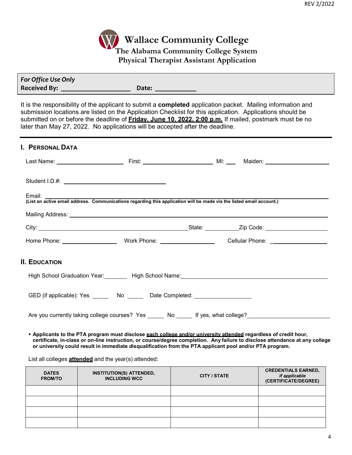

| For Office Use Only |       |
|---------------------|-------|
| <b>Received By:</b> | Date: |

It is the responsibility of the applicant to submit a **completed** application packet. Mailing information and submission locations are listed on the Application Checklist for this application. Applications should be submitted on or before the deadline of **Friday, June 10, 2022, 2:00 p.m.** If mailed, postmark must be no later than May 27, 2022. No applications will be accepted after the deadline.

| <b>I. PERSONAL DATA</b>                                                                                                                            |  |  |
|----------------------------------------------------------------------------------------------------------------------------------------------------|--|--|
|                                                                                                                                                    |  |  |
|                                                                                                                                                    |  |  |
| Email: ________<br>Litian.<br>(List an active email address. Communications regarding this application will be made via the listed email account.) |  |  |
|                                                                                                                                                    |  |  |
|                                                                                                                                                    |  |  |
|                                                                                                                                                    |  |  |
| <b>II. EDUCATION</b>                                                                                                                               |  |  |
| High School Graduation Year: Nigh School Name: Name: Nigh School Name: Nigh School Graduation Year:                                                |  |  |
| GED (if applicable): Yes _______ No ______ Date Completed: _____________________                                                                   |  |  |
| Are you currently taking college courses? Yes _______ No ______ If yes, what college?                                                              |  |  |

 **Applicants to the PTA program must disclose each college and/or university attended regardless of credit hour, certificate, in-class or on-line instruction, or course/degree completion. Any failure to disclose attendance at any college or university could result in immediate disqualification from the PTA applicant pool and/or PTA program.**

List all colleges **attended** and the year(s) attended:

| <b>DATES</b><br><b>FROM/TO</b> | <b>INSTITUTION(S) ATTENDED,</b><br><b>INCLUDING WCC</b> | CITY / STATE | <b>CREDENTIALS EARNED,</b><br>if applicable<br>(CERTIFICATE/DEGREE) |
|--------------------------------|---------------------------------------------------------|--------------|---------------------------------------------------------------------|
|                                |                                                         |              |                                                                     |
|                                |                                                         |              |                                                                     |
|                                |                                                         |              |                                                                     |
|                                |                                                         |              |                                                                     |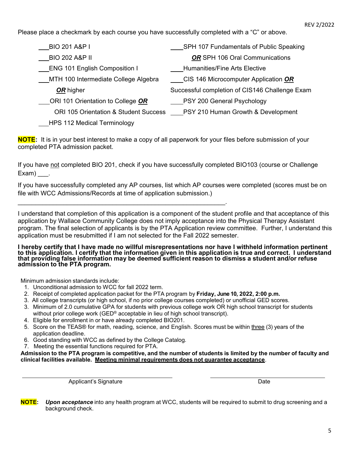Please place a checkmark by each course you have successfully completed with a "C" or above.

| <b>BIO 201 A&amp;P I</b>              | SPH 107 Fundamentals of Public Speaking        |
|---------------------------------------|------------------------------------------------|
|                                       |                                                |
| <b>BIO 202 A&amp;P II</b>             | OR SPH 106 Oral Communications                 |
| <b>ENG 101 English Composition I</b>  | Humanities/Fine Arts Elective                  |
| MTH 100 Intermediate College Algebra  | CIS 146 Microcomputer Application OR           |
| OR higher                             | Successful completion of CIS146 Challenge Exam |
| ORI 101 Orientation to College OR     | __PSY 200 General Psychology                   |
| ORI 105 Orientation & Student Success | PSY 210 Human Growth & Development             |
| <b>HPS 112 Medical Terminology</b>    |                                                |

**NOTE:** It is in your best interest to make a copy of all paperwork for your files before submission of your completed PTA admission packet.

If you have not completed BIO 201, check if you have successfully completed BIO103 (course or Challenge Exam).

If you have successfully completed any AP courses, list which AP courses were completed (scores must be on file with WCC Admissions/Records at time of application submission.)

I understand that completion of this application is a component of the student profile and that acceptance of this application by Wallace Community College does not imply acceptance into the Physical Therapy Assistant program. The final selection of applicants is by the PTA Application review committee. Further, I understand this application must be resubmitted if I am not selected for the Fall 2022 semester.

**I hereby certify that I have made no willful misrepresentations nor have I withheld information pertinent to this application. I certify that the information given in this application is true and correct. I understand that providing false information may be deemed sufficient reason to dismiss a student and/or refuse admission to the PTA program.** 

Minimum admission standards include:

- 1. Unconditional admission to WCC for fall 2022 term.
- 2. Receipt of completed application packet for the PTA program by **Friday, June 10, 2022, 2:00 p.m.**
- 3. All college transcripts (or high school, if no prior college courses completed) or unofficial GED scores.
- 3. Minimum of 2.0 cumulative GPA for students with previous college work OR high school transcript for students without prior college work (GED<sup>®</sup> acceptable in lieu of high school transcript).
- 4. Eligible for enrollment in or have already completed BIO201.

 $\mathcal{L}_\text{max}$  and  $\mathcal{L}_\text{max}$  and  $\mathcal{L}_\text{max}$  and  $\mathcal{L}_\text{max}$  and  $\mathcal{L}_\text{max}$ 

- 5. Score on the TEAS® for math, reading, science, and English. Scores must be within three (3) years of the application deadline.
- 6. Good standing with WCC as defined by the College Catalog.
- 7. Meeting the essential functions required for PTA.

**Admission to the PTA program is competitive, and the number of students is limited by the number of faculty and clinical facilities available. Meeting minimal requirements does not guarantee acceptance**.

Applicant's Signature **Date** Date of **Contract Contract Contract Contract Contract Contract Contract Contract Contract Contract Contract Contract Contract Contract Contract Contract Contract Contract Contract Contract Cont** 

**NOTE:** *Upon acceptance* into any health program at WCC, students will be required to submit to drug screening and a background check.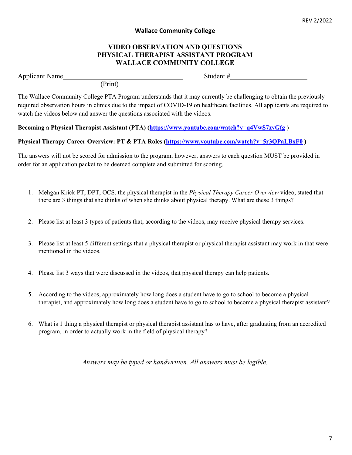# **Wallace Community College**

# **VIDEO OBSERVATION AND QUESTIONS PHYSICAL THERAPIST ASSISTANT PROGRAM WALLACE COMMUNITY COLLEGE**

Applicant Name Student #

(Print)

The Wallace Community College PTA Program understands that it may currently be challenging to obtain the previously required observation hours in clinics due to the impact of COVID-19 on healthcare facilities. All applicants are required to watch the videos below and answer the questions associated with the videos.

# **Becoming a Physical Therapist Assistant (PTA) (https://www.youtube.com/watch?v=q4VwS7zvGfg )**

# **Physical Therapy Career Overview: PT & PTA Roles (https://www.youtube.com/watch?v=5r3QPaLBxF0 )**

The answers will not be scored for admission to the program; however, answers to each question MUST be provided in order for an application packet to be deemed complete and submitted for scoring.

- 1. Mehgan Krick PT, DPT, OCS, the physical therapist in the *Physical Therapy Career Overview* video, stated that there are 3 things that she thinks of when she thinks about physical therapy. What are these 3 things?
- 2. Please list at least 3 types of patients that, according to the videos, may receive physical therapy services.
- 3. Please list at least 5 different settings that a physical therapist or physical therapist assistant may work in that were mentioned in the videos.
- 4. Please list 3 ways that were discussed in the videos, that physical therapy can help patients.
- 5. According to the videos, approximately how long does a student have to go to school to become a physical therapist, and approximately how long does a student have to go to school to become a physical therapist assistant?
- 6. What is 1 thing a physical therapist or physical therapist assistant has to have, after graduating from an accredited program, in order to actually work in the field of physical therapy?

*Answers may be typed or handwritten. All answers must be legible.*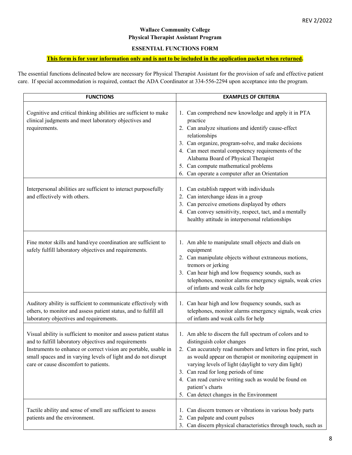# **Wallace Community College Physical Therapist Assistant Program**

### **ESSENTIAL FUNCTIONS FORM**

# **This form is for your information only and is not to be included in the application packet when returned.**

The essential functions delineated below are necessary for Physical Therapist Assistant for the provision of safe and effective patient care. If special accommodation is required, contact the ADA Coordinator at 334-556-2294 upon acceptance into the program.

| <b>FUNCTIONS</b>                                                                                                                                                                                                                                                                                          | <b>EXAMPLES OF CRITERIA</b>                                                                                                                                                                                                                                                                                                                                                                                                                 |
|-----------------------------------------------------------------------------------------------------------------------------------------------------------------------------------------------------------------------------------------------------------------------------------------------------------|---------------------------------------------------------------------------------------------------------------------------------------------------------------------------------------------------------------------------------------------------------------------------------------------------------------------------------------------------------------------------------------------------------------------------------------------|
| Cognitive and critical thinking abilities are sufficient to make<br>clinical judgments and meet laboratory objectives and<br>requirements.                                                                                                                                                                | 1. Can comprehend new knowledge and apply it in PTA<br>practice<br>2. Can analyze situations and identify cause-effect<br>relationships<br>3. Can organize, program-solve, and make decisions<br>4. Can meet mental competency requirements of the<br>Alabama Board of Physical Therapist<br>5. Can compute mathematical problems<br>6. Can operate a computer after an Orientation                                                         |
| Interpersonal abilities are sufficient to interact purposefully<br>and effectively with others.                                                                                                                                                                                                           | 1. Can establish rapport with individuals<br>2. Can interchange ideas in a group<br>3. Can perceive emotions displayed by others<br>4. Can convey sensitivity, respect, tact, and a mentally<br>healthy attitude in interpersonal relationships                                                                                                                                                                                             |
| Fine motor skills and hand/eye coordination are sufficient to<br>safely fulfill laboratory objectives and requirements.                                                                                                                                                                                   | 1. Am able to manipulate small objects and dials on<br>equipment<br>2. Can manipulate objects without extraneous motions,<br>tremors or jerking<br>3. Can hear high and low frequency sounds, such as<br>telephones, monitor alarms emergency signals, weak cries<br>of infants and weak calls for help                                                                                                                                     |
| Auditory ability is sufficient to communicate effectively with<br>others, to monitor and assess patient status, and to fulfill all<br>laboratory objectives and requirements.                                                                                                                             | 1. Can hear high and low frequency sounds, such as<br>telephones, monitor alarms emergency signals, weak cries<br>of infants and weak calls for help                                                                                                                                                                                                                                                                                        |
| Visual ability is sufficient to monitor and assess patient status<br>and to fulfill laboratory objectives and requirements<br>Instruments to enhance or correct vision are portable, usable in<br>small spaces and in varying levels of light and do not disrupt<br>care or cause discomfort to patients. | 1. Am able to discern the full spectrum of colors and to<br>distinguish color changes<br>2. Can accurately read numbers and letters in fine print, such<br>as would appear on therapist or monitoring equipment in<br>varying levels of light (daylight to very dim light)<br>3. Can read for long periods of time<br>4. Can read cursive writing such as would be found on<br>patient's charts<br>5. Can detect changes in the Environment |
| Tactile ability and sense of smell are sufficient to assess<br>patients and the environment.                                                                                                                                                                                                              | Can discern tremors or vibrations in various body parts<br>1.<br>Can palpate and count pulses<br>2.<br>3. Can discern physical characteristics through touch, such as                                                                                                                                                                                                                                                                       |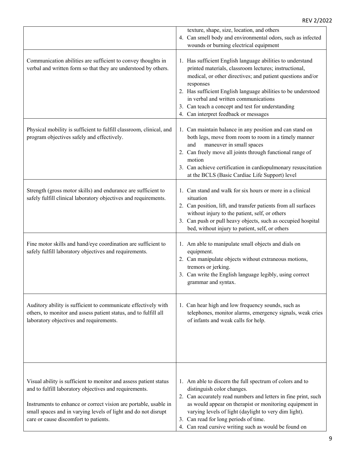|                                                                                                                                                                                                                                                                                                            | texture, shape, size, location, and others<br>4. Can smell body and environmental odors, such as infected<br>wounds or burning electrical equipment                                                                                                                                                                                                                                                   |
|------------------------------------------------------------------------------------------------------------------------------------------------------------------------------------------------------------------------------------------------------------------------------------------------------------|-------------------------------------------------------------------------------------------------------------------------------------------------------------------------------------------------------------------------------------------------------------------------------------------------------------------------------------------------------------------------------------------------------|
| Communication abilities are sufficient to convey thoughts in<br>verbal and written form so that they are understood by others.                                                                                                                                                                             | 1. Has sufficient English language abilities to understand<br>printed materials, classroom lectures; instructional,<br>medical, or other directives; and patient questions and/or<br>responses<br>2. Has sufficient English language abilities to be understood<br>in verbal and written communications<br>3. Can teach a concept and test for understanding<br>4. Can interpret feedback or messages |
| Physical mobility is sufficient to fulfill classroom, clinical, and<br>program objectives safely and effectively.                                                                                                                                                                                          | 1. Can maintain balance in any position and can stand on<br>both legs, move from room to room in a timely manner<br>maneuver in small spaces<br>and<br>2. Can freely move all joints through functional range of<br>motion<br>3. Can achieve certification in cardiopulmonary resuscitation<br>at the BCLS (Basic Cardiac Life Support) level                                                         |
| Strength (gross motor skills) and endurance are sufficient to<br>safely fulfill clinical laboratory objectives and requirements.                                                                                                                                                                           | 1. Can stand and walk for six hours or more in a clinical<br>situation<br>2. Can position, lift, and transfer patients from all surfaces<br>without injury to the patient, self, or others<br>3. Can push or pull heavy objects, such as occupied hospital<br>bed, without injury to patient, self, or others                                                                                         |
| Fine motor skills and hand/eye coordination are sufficient to<br>safely fulfill laboratory objectives and requirements.                                                                                                                                                                                    | 1. Am able to manipulate small objects and dials on<br>equipment.<br>2. Can manipulate objects without extraneous motions,<br>tremors or jerking.<br>3. Can write the English language legibly, using correct<br>grammar and syntax.                                                                                                                                                                  |
| Auditory ability is sufficient to communicate effectively with<br>others, to monitor and assess patient status, and to fulfill all<br>laboratory objectives and requirements.                                                                                                                              | 1. Can hear high and low frequency sounds, such as<br>telephones, monitor alarms, emergency signals, weak cries<br>of infants and weak calls for help.                                                                                                                                                                                                                                                |
| Visual ability is sufficient to monitor and assess patient status<br>and to fulfill laboratory objectives and requirements.<br>Instruments to enhance or correct vision are portable, usable in<br>small spaces and in varying levels of light and do not disrupt<br>care or cause discomfort to patients. | 1. Am able to discern the full spectrum of colors and to<br>distinguish color changes.<br>2. Can accurately read numbers and letters in fine print, such<br>as would appear on therapist or monitoring equipment in<br>varying levels of light (daylight to very dim light).<br>3. Can read for long periods of time.<br>4. Can read cursive writing such as would be found on                        |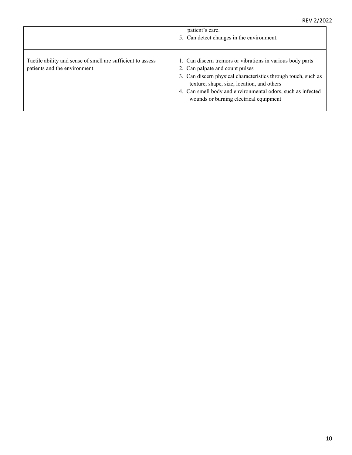|                                                                                             | patient's care.<br>5. Can detect changes in the environment.                                                                                                                                                                                                                                                           |
|---------------------------------------------------------------------------------------------|------------------------------------------------------------------------------------------------------------------------------------------------------------------------------------------------------------------------------------------------------------------------------------------------------------------------|
| Tactile ability and sense of smell are sufficient to assess<br>patients and the environment | 1. Can discern tremors or vibrations in various body parts<br>2. Can palpate and count pulses<br>3. Can discern physical characteristics through touch, such as<br>texture, shape, size, location, and others<br>4. Can smell body and environmental odors, such as infected<br>wounds or burning electrical equipment |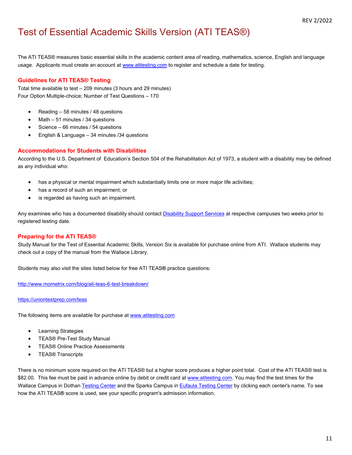# Test of Essential Academic Skills Version (ATI TEAS®)

The ATI TEAS® measures basic essential skills in the academic content area of reading, mathematics, science, English and language usage. Applicants must create an account at www.atitesting.com to register and schedule a date for testing.

### **Guidelines for ATI TEAS® Testing**

Total time available to test – 209 minutes (3 hours and 29 minutes) Four Option Multiple-choice; Number of Test Questions – 170

- Reading 58 minutes / 48 questions
- Math 51 minutes / 34 questions
- Science 66 minutes / 54 questions
- English & Language 34 minutes /34 questions

#### **Accommodations for Students with Disabilities**

According to the U.S. Department of Education's Section 504 of the Rehabilitation Act of 1973, a student with a disability may be defined as any individual who:

- has a physical or mental impairment which substantially limits one or more major life activities;
- has a record of such an impairment; or
- is regarded as having such an impairment.

Any examinee who has a documented disability should contact Disability Support Services at respective campuses two weeks prior to registered testing date.

### **Preparing for the ATI TEAS®**

Study Manual for the Test of Essential Academic Skills, Version Six is available for purchase online from ATI. Wallace students may check out a copy of the manual from the Wallace Library.

Students may also visit the sites listed below for free ATI TEAS**®** practice questions:

http://www.mometrix.com/blog/ati-teas-6-test-breakdown/

#### https://uniontestprep.com/teas

The following items are available for purchase at www.atitesting.com

- **•** Learning Strategies
- TEAS® Pre-Test Study Manual
- **TEAS® Online Practice Assessments**
- **•** TEAS® Transcripts

There is no minimum score required on the ATI TEAS® but a higher score produces a higher point total. Cost of the ATI TEAS® test is \$82.00. This fee must be paid in advance online by debit or credit card at www.atitesting.com. You may find the test times for the Wallace Campus in Dothan Testing Center and the Sparks Campus in Eufaula Testing Center by clicking each center's name. To see how the ATI TEAS**®** score is used, see your specific program's admission information.